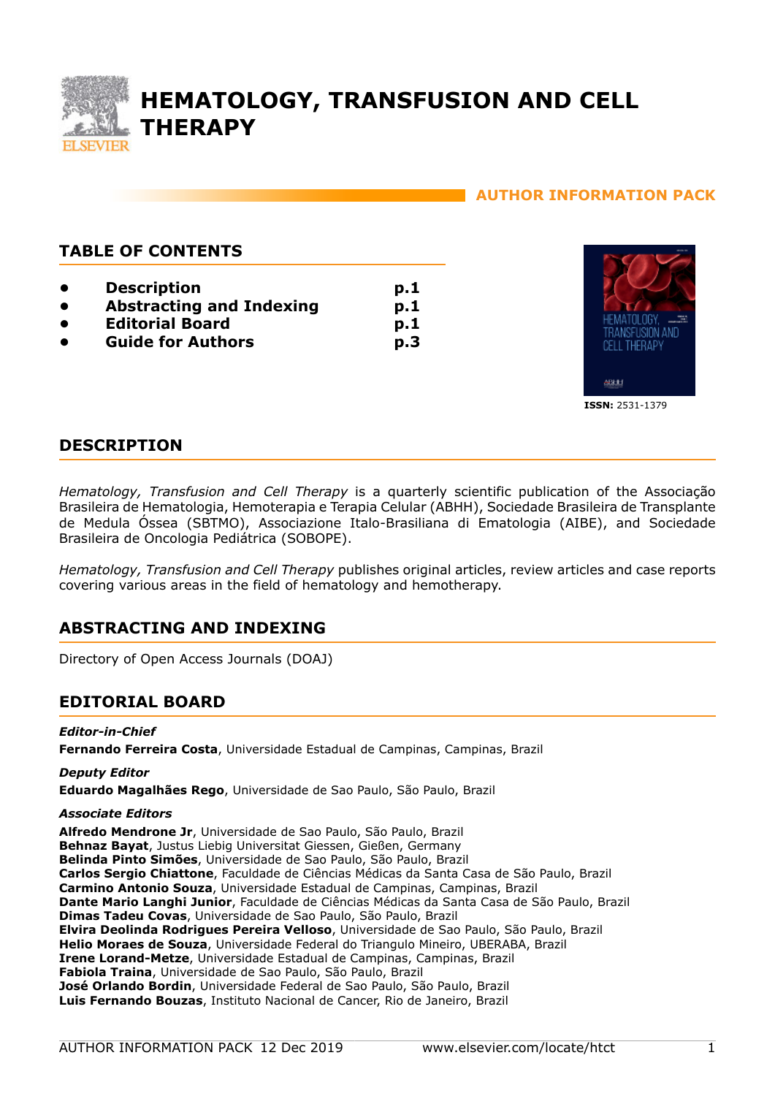

# **HEMATOLOGY, TRANSFUSION AND CELL THERAPY**

**p.1 p.1 p.1 p.3**

## **AUTHOR INFORMATION PACK**

## **TABLE OF CONTENTS**

- **[Description](#page-0-0)**
- **[Abstracting and Indexing](#page-0-1)**
- **[Editorial Board](#page-0-2)**
- **[Guide for Authors](#page-2-0)**



## <span id="page-0-0"></span>**DESCRIPTION**

*Hematology, Transfusion and Cell Therapy* is a quarterly scientific publication of the Associação Brasileira de Hematologia, Hemoterapia e Terapia Celular (ABHH), Sociedade Brasileira de Transplante de Medula Óssea (SBTMO), Associazione Italo-Brasiliana di Ematologia (AIBE), and Sociedade Brasileira de Oncologia Pediátrica (SOBOPE).

*Hematology, Transfusion and Cell Therapy* publishes original articles, review articles and case reports covering various areas in the field of hematology and hemotherapy.

## <span id="page-0-1"></span>**ABSTRACTING AND INDEXING**

Directory of Open Access Journals (DOAJ)

## <span id="page-0-2"></span>**EDITORIAL BOARD**

## *Editor-in-Chief*

**Fernando Ferreira Costa**, Universidade Estadual de Campinas, Campinas, Brazil

## *Deputy Editor*

**Eduardo Magalhães Rego**, Universidade de Sao Paulo, São Paulo, Brazil

## *Associate Editors*

**Alfredo Mendrone Jr**, Universidade de Sao Paulo, São Paulo, Brazil **Behnaz Bayat**, Justus Liebig Universitat Giessen, Gießen, Germany **Belinda Pinto Simões**, Universidade de Sao Paulo, São Paulo, Brazil **Carlos Sergio Chiattone**, Faculdade de Ciências Médicas da Santa Casa de São Paulo, Brazil **Carmino Antonio Souza**, Universidade Estadual de Campinas, Campinas, Brazil **Dante Mario Langhi Junior**, Faculdade de Ciências Médicas da Santa Casa de São Paulo, Brazil **Dimas Tadeu Covas**, Universidade de Sao Paulo, São Paulo, Brazil **Elvira Deolinda Rodrigues Pereira Velloso**, Universidade de Sao Paulo, São Paulo, Brazil **Helio Moraes de Souza**, Universidade Federal do Triangulo Mineiro, UBERABA, Brazil **Irene Lorand-Metze**, Universidade Estadual de Campinas, Campinas, Brazil **Fabiola Traina**, Universidade de Sao Paulo, São Paulo, Brazil **José Orlando Bordin**, Universidade Federal de Sao Paulo, São Paulo, Brazil **Luis Fernando Bouzas**, Instituto Nacional de Cancer, Rio de Janeiro, Brazil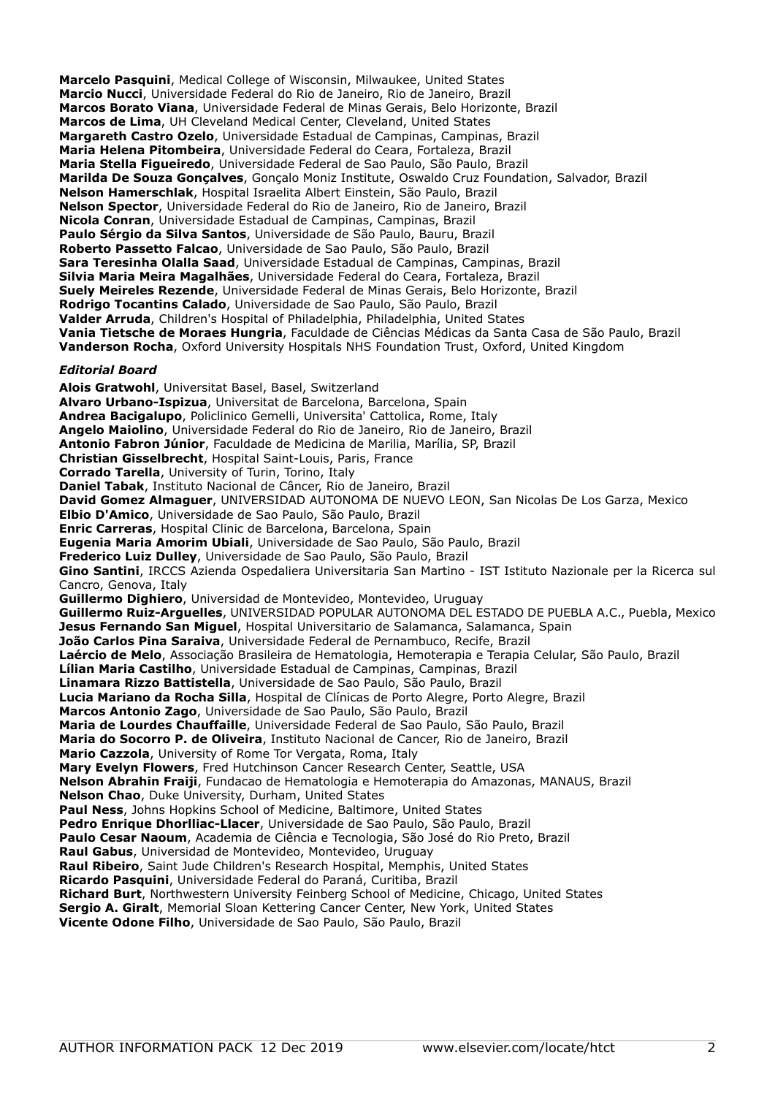**Marcelo Pasquini**, Medical College of Wisconsin, Milwaukee, United States **Marcio Nucci**, Universidade Federal do Rio de Janeiro, Rio de Janeiro, Brazil **Marcos Borato Viana**, Universidade Federal de Minas Gerais, Belo Horizonte, Brazil **Marcos de Lima**, UH Cleveland Medical Center, Cleveland, United States **Margareth Castro Ozelo**, Universidade Estadual de Campinas, Campinas, Brazil **Maria Helena Pitombeira**, Universidade Federal do Ceara, Fortaleza, Brazil **Maria Stella Figueiredo**, Universidade Federal de Sao Paulo, São Paulo, Brazil **Marilda De Souza Gonçalves**, Gonçalo Moniz Institute, Oswaldo Cruz Foundation, Salvador, Brazil **Nelson Hamerschlak**, Hospital Israelita Albert Einstein, São Paulo, Brazil **Nelson Spector**, Universidade Federal do Rio de Janeiro, Rio de Janeiro, Brazil **Nicola Conran**, Universidade Estadual de Campinas, Campinas, Brazil **Paulo Sérgio da Silva Santos**, Universidade de São Paulo, Bauru, Brazil **Roberto Passetto Falcao**, Universidade de Sao Paulo, São Paulo, Brazil **Sara Teresinha Olalla Saad**, Universidade Estadual de Campinas, Campinas, Brazil **Silvia Maria Meira Magalhães**, Universidade Federal do Ceara, Fortaleza, Brazil **Suely Meireles Rezende**, Universidade Federal de Minas Gerais, Belo Horizonte, Brazil **Rodrigo Tocantins Calado**, Universidade de Sao Paulo, São Paulo, Brazil **Valder Arruda**, Children's Hospital of Philadelphia, Philadelphia, United States **Vania Tietsche de Moraes Hungria**, Faculdade de Ciências Médicas da Santa Casa de São Paulo, Brazil **Vanderson Rocha**, Oxford University Hospitals NHS Foundation Trust, Oxford, United Kingdom

#### *Editorial Board*

**Alois Gratwohl**, Universitat Basel, Basel, Switzerland **Alvaro Urbano-Ispizua**, Universitat de Barcelona, Barcelona, Spain **Andrea Bacigalupo**, Policlinico Gemelli, Universita' Cattolica, Rome, Italy **Angelo Maiolino**, Universidade Federal do Rio de Janeiro, Rio de Janeiro, Brazil **Antonio Fabron Júnior**, Faculdade de Medicina de Marilia, Marília, SP, Brazil **Christian Gisselbrecht**, Hospital Saint-Louis, Paris, France **Corrado Tarella**, University of Turin, Torino, Italy **Daniel Tabak**, Instituto Nacional de Câncer, Rio de Janeiro, Brazil **David Gomez Almaguer**, UNIVERSIDAD AUTONOMA DE NUEVO LEON, San Nicolas De Los Garza, Mexico **Elbio D'Amico**, Universidade de Sao Paulo, São Paulo, Brazil **Enric Carreras**, Hospital Clinic de Barcelona, Barcelona, Spain **Eugenia Maria Amorim Ubiali**, Universidade de Sao Paulo, São Paulo, Brazil **Frederico Luiz Dulley**, Universidade de Sao Paulo, São Paulo, Brazil **Gino Santini**, IRCCS Azienda Ospedaliera Universitaria San Martino - IST Istituto Nazionale per la Ricerca sul Cancro, Genova, Italy **Guillermo Dighiero**, Universidad de Montevideo, Montevideo, Uruguay **Guillermo Ruiz-Arguelles**, UNIVERSIDAD POPULAR AUTONOMA DEL ESTADO DE PUEBLA A.C., Puebla, Mexico **Jesus Fernando San Miguel**, Hospital Universitario de Salamanca, Salamanca, Spain **João Carlos Pina Saraiva**, Universidade Federal de Pernambuco, Recife, Brazil **Laércio de Melo**, Associação Brasileira de Hematologia, Hemoterapia e Terapia Celular, São Paulo, Brazil **Lílian Maria Castilho**, Universidade Estadual de Campinas, Campinas, Brazil **Linamara Rizzo Battistella**, Universidade de Sao Paulo, São Paulo, Brazil **Lucia Mariano da Rocha Silla**, Hospital de Clínicas de Porto Alegre, Porto Alegre, Brazil **Marcos Antonio Zago**, Universidade de Sao Paulo, São Paulo, Brazil **Maria de Lourdes Chauffaille**, Universidade Federal de Sao Paulo, São Paulo, Brazil **Maria do Socorro P. de Oliveira**, Instituto Nacional de Cancer, Rio de Janeiro, Brazil **Mario Cazzola**, University of Rome Tor Vergata, Roma, Italy **Mary Evelyn Flowers**, Fred Hutchinson Cancer Research Center, Seattle, USA **Nelson Abrahin Fraiji**, Fundacao de Hematologia e Hemoterapia do Amazonas, MANAUS, Brazil **Nelson Chao**, Duke University, Durham, United States **Paul Ness**, Johns Hopkins School of Medicine, Baltimore, United States **Pedro Enrique Dhorlliac-Llacer**, Universidade de Sao Paulo, São Paulo, Brazil **Paulo Cesar Naoum**, Academia de Ciência e Tecnologia, São José do Rio Preto, Brazil **Raul Gabus**, Universidad de Montevideo, Montevideo, Uruguay **Raul Ribeiro**, Saint Jude Children's Research Hospital, Memphis, United States **Ricardo Pasquini**, Universidade Federal do Paraná, Curitiba, Brazil **Richard Burt**, Northwestern University Feinberg School of Medicine, Chicago, United States **Sergio A. Giralt**, Memorial Sloan Kettering Cancer Center, New York, United States **Vicente Odone Filho**, Universidade de Sao Paulo, São Paulo, Brazil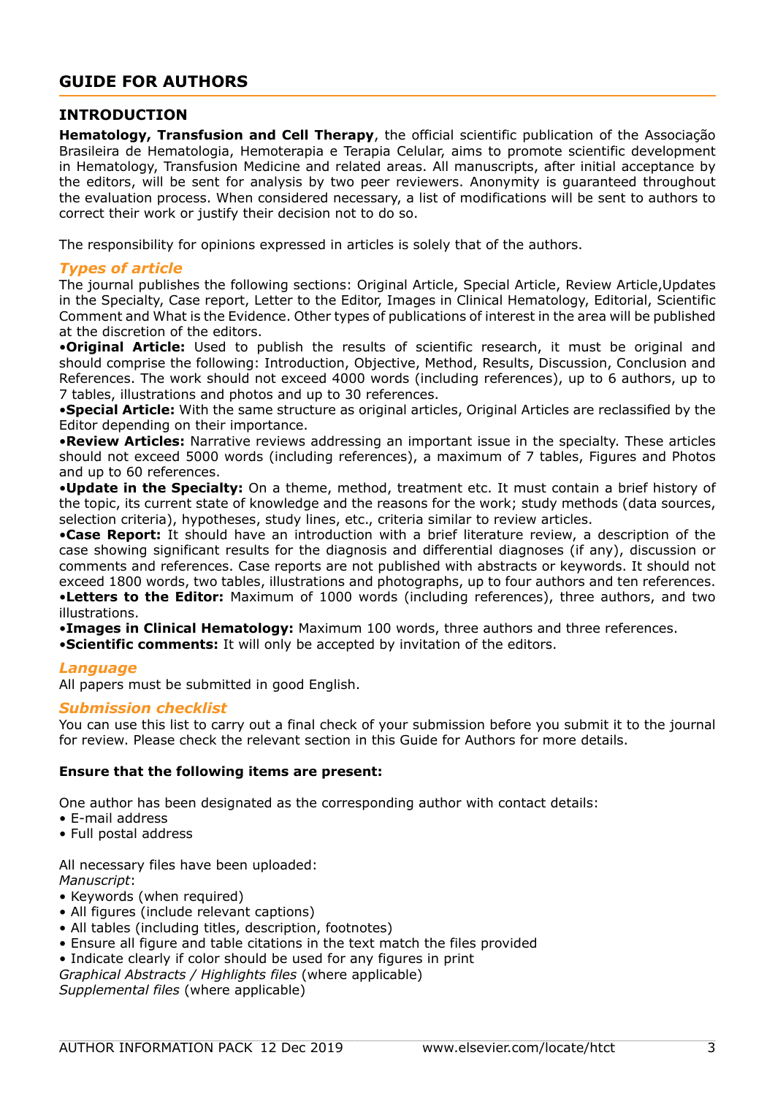## <span id="page-2-0"></span>**GUIDE FOR AUTHORS**

## **INTRODUCTION**

**Hematology, Transfusion and Cell Therapy**, the official scientific publication of the Associação Brasileira de Hematologia, Hemoterapia e Terapia Celular, aims to promote scientific development in Hematology, Transfusion Medicine and related areas. All manuscripts, after initial acceptance by the editors, will be sent for analysis by two peer reviewers. Anonymity is guaranteed throughout the evaluation process. When considered necessary, a list of modifications will be sent to authors to correct their work or justify their decision not to do so.

The responsibility for opinions expressed in articles is solely that of the authors.

## *Types of article*

The journal publishes the following sections: Original Article, Special Article, Review Article,Updates in the Specialty, Case report, Letter to the Editor, Images in Clinical Hematology, Editorial, Scientific Comment and What is the Evidence. Other types of publications of interest in the area will be published at the discretion of the editors.

•**Original Article:** Used to publish the results of scientific research, it must be original and should comprise the following: Introduction, Objective, Method, Results, Discussion, Conclusion and References. The work should not exceed 4000 words (including references), up to 6 authors, up to 7 tables, illustrations and photos and up to 30 references.

•**Special Article:** With the same structure as original articles, Original Articles are reclassified by the Editor depending on their importance.

•**Review Articles:** Narrative reviews addressing an important issue in the specialty. These articles should not exceed 5000 words (including references), a maximum of 7 tables, Figures and Photos and up to 60 references.

•**Update in the Specialty:** On a theme, method, treatment etc. It must contain a brief history of the topic, its current state of knowledge and the reasons for the work; study methods (data sources, selection criteria), hypotheses, study lines, etc., criteria similar to review articles.

•**Case Report:** It should have an introduction with a brief literature review, a description of the case showing significant results for the diagnosis and differential diagnoses (if any), discussion or comments and references. Case reports are not published with abstracts or keywords. It should not exceed 1800 words, two tables, illustrations and photographs, up to four authors and ten references. •**Letters to the Editor:** Maximum of 1000 words (including references), three authors, and two illustrations.

•**Images in Clinical Hematology:** Maximum 100 words, three authors and three references.

•**Scientific comments:** It will only be accepted by invitation of the editors.

## *Language*

All papers must be submitted in good English.

## *Submission checklist*

You can use this list to carry out a final check of your submission before you submit it to the journal for review. Please check the relevant section in this Guide for Authors for more details.

## **Ensure that the following items are present:**

One author has been designated as the corresponding author with contact details:

- E-mail address
- Full postal address

All necessary files have been uploaded: *Manuscript*:

• Keywords (when required)

- All figures (include relevant captions)
- All tables (including titles, description, footnotes)
- Ensure all figure and table citations in the text match the files provided

• Indicate clearly if color should be used for any figures in print

*Graphical Abstracts / Highlights files* (where applicable)

*Supplemental files* (where applicable)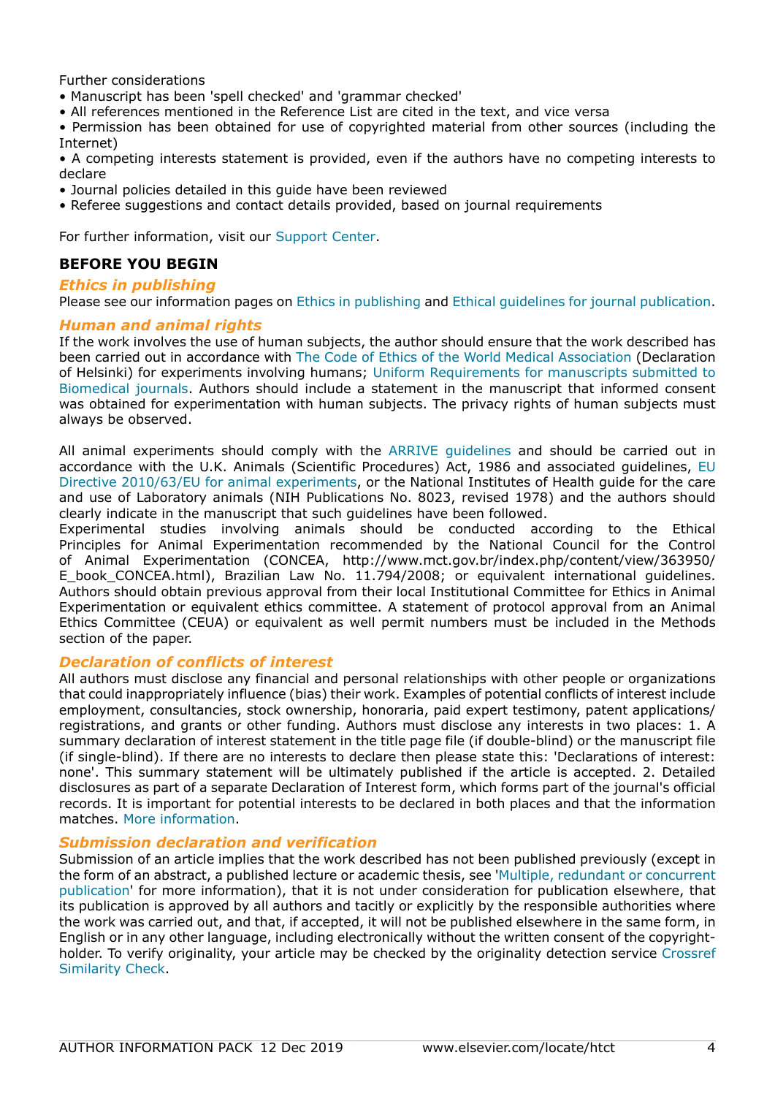Further considerations

- Manuscript has been 'spell checked' and 'grammar checked'
- All references mentioned in the Reference List are cited in the text, and vice versa

• Permission has been obtained for use of copyrighted material from other sources (including the Internet)

• A competing interests statement is provided, even if the authors have no competing interests to declare

- Journal policies detailed in this guide have been reviewed
- Referee suggestions and contact details provided, based on journal requirements

For further information, visit our [Support Center.](http://service.elsevier.com/app/home/supporthub/publishing/)

## **BEFORE YOU BEGIN**

## *Ethics in publishing*

Please see our information pages on [Ethics in publishing](https://www.elsevier.com/about/policies/publishing-ethics) and [Ethical guidelines for journal publication](https://www.elsevier.com/authors/journal-authors/policies-and-ethics).

## *Human and animal rights*

If the work involves the use of human subjects, the author should ensure that the work described has been carried out in accordance with [The Code of Ethics of the World Medical Association](https://www.wma.net/policies-post/wma-declaration-of-helsinki-ethical-principles-for-medical-research-involving-human-subjects/) (Declaration of Helsinki) for experiments involving humans; [Uniform Requirements for manuscripts submitted to](http://www.icmje.org) [Biomedical journals.](http://www.icmje.org) Authors should include a statement in the manuscript that informed consent was obtained for experimentation with human subjects. The privacy rights of human subjects must always be observed.

All animal experiments should comply with the [ARRIVE guidelines](http://www.nc3rs.org.uk/page.asp?id=1357) and should be carried out in accordance with the U.K. Animals (Scientific Procedures) Act, 1986 and associated guidelines, [EU](http://ec.europa.eu/environment/chemicals/lab_animals/legislation_en.htm) [Directive 2010/63/EU for animal experiments](http://ec.europa.eu/environment/chemicals/lab_animals/legislation_en.htm), or the National Institutes of Health guide for the care and use of Laboratory animals (NIH Publications No. 8023, revised 1978) and the authors should clearly indicate in the manuscript that such guidelines have been followed.

Experimental studies involving animals should be conducted according to the Ethical Principles for Animal Experimentation recommended by the National Council for the Control of Animal Experimentation (CONCEA, http://www.mct.gov.br/index.php/content/view/363950/ E\_book\_CONCEA.html), Brazilian Law No. 11.794/2008; or equivalent international guidelines. Authors should obtain previous approval from their local Institutional Committee for Ethics in Animal Experimentation or equivalent ethics committee. A statement of protocol approval from an Animal Ethics Committee (CEUA) or equivalent as well permit numbers must be included in the Methods section of the paper.

## *Declaration of conflicts of interest*

All authors must disclose any financial and personal relationships with other people or organizations that could inappropriately influence (bias) their work. Examples of potential conflicts of interest include employment, consultancies, stock ownership, honoraria, paid expert testimony, patent applications/ registrations, and grants or other funding. Authors must disclose any interests in two places: 1. A summary declaration of interest statement in the title page file (if double-blind) or the manuscript file (if single-blind). If there are no interests to declare then please state this: 'Declarations of interest: none'. This summary statement will be ultimately published if the article is accepted. 2. Detailed disclosures as part of a separate Declaration of Interest form, which forms part of the journal's official records. It is important for potential interests to be declared in both places and that the information matches. [More information.](http://service.elsevier.com/app/answers/detail/a_id/286/supporthub/publishing)

## *Submission declaration and verification*

Submission of an article implies that the work described has not been published previously (except in the form of an abstract, a published lecture or academic thesis, see '[Multiple, redundant or concurrent](https://www.elsevier.com/authors/journal-authors/policies-and-ethics) [publication](https://www.elsevier.com/authors/journal-authors/policies-and-ethics)' for more information), that it is not under consideration for publication elsewhere, that its publication is approved by all authors and tacitly or explicitly by the responsible authorities where the work was carried out, and that, if accepted, it will not be published elsewhere in the same form, in English or in any other language, including electronically without the written consent of the copyrightholder. To verify originality, your article may be checked by the originality detection service [Crossref](https://www.elsevier.com/editors/perk/plagiarism-complaints/plagiarism-detection) [Similarity Check.](https://www.elsevier.com/editors/perk/plagiarism-complaints/plagiarism-detection)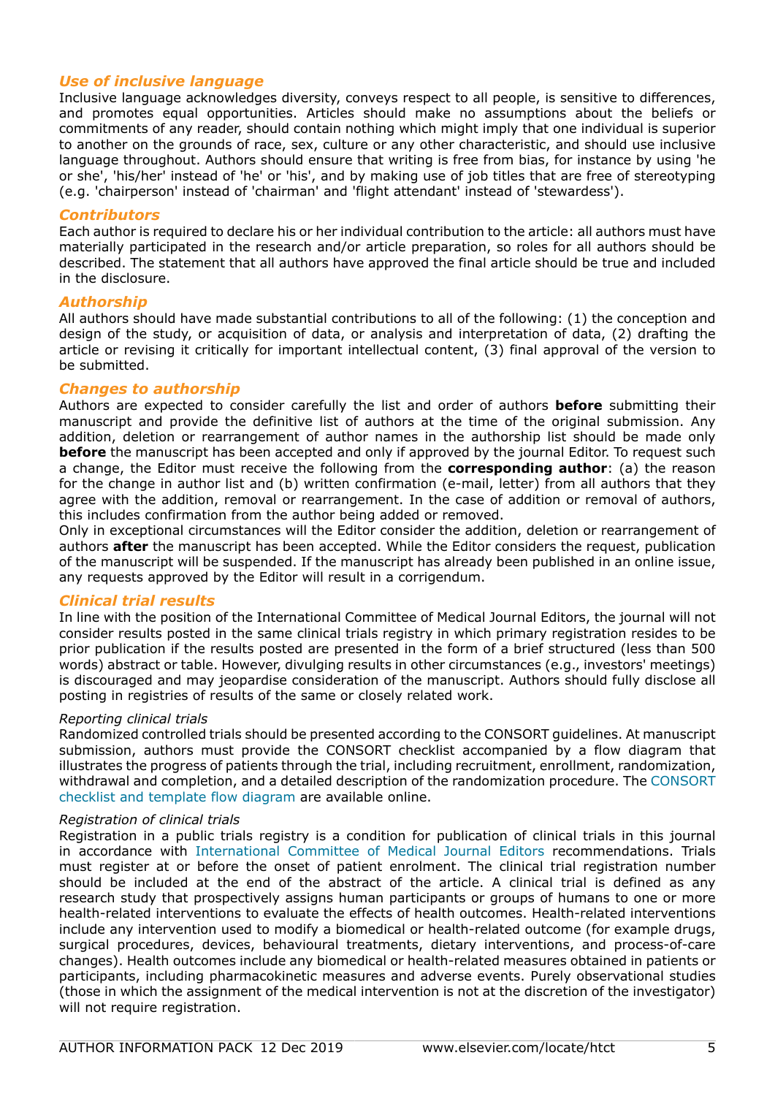## *Use of inclusive language*

Inclusive language acknowledges diversity, conveys respect to all people, is sensitive to differences, and promotes equal opportunities. Articles should make no assumptions about the beliefs or commitments of any reader, should contain nothing which might imply that one individual is superior to another on the grounds of race, sex, culture or any other characteristic, and should use inclusive language throughout. Authors should ensure that writing is free from bias, for instance by using 'he or she', 'his/her' instead of 'he' or 'his', and by making use of job titles that are free of stereotyping (e.g. 'chairperson' instead of 'chairman' and 'flight attendant' instead of 'stewardess').

## *Contributors*

Each author is required to declare his or her individual contribution to the article: all authors must have materially participated in the research and/or article preparation, so roles for all authors should be described. The statement that all authors have approved the final article should be true and included in the disclosure.

## *Authorship*

All authors should have made substantial contributions to all of the following: (1) the conception and design of the study, or acquisition of data, or analysis and interpretation of data, (2) drafting the article or revising it critically for important intellectual content, (3) final approval of the version to be submitted.

## *Changes to authorship*

Authors are expected to consider carefully the list and order of authors **before** submitting their manuscript and provide the definitive list of authors at the time of the original submission. Any addition, deletion or rearrangement of author names in the authorship list should be made only **before** the manuscript has been accepted and only if approved by the journal Editor. To request such a change, the Editor must receive the following from the **corresponding author**: (a) the reason for the change in author list and (b) written confirmation (e-mail, letter) from all authors that they agree with the addition, removal or rearrangement. In the case of addition or removal of authors, this includes confirmation from the author being added or removed.

Only in exceptional circumstances will the Editor consider the addition, deletion or rearrangement of authors **after** the manuscript has been accepted. While the Editor considers the request, publication of the manuscript will be suspended. If the manuscript has already been published in an online issue, any requests approved by the Editor will result in a corrigendum.

## *Clinical trial results*

In line with the position of the International Committee of Medical Journal Editors, the journal will not consider results posted in the same clinical trials registry in which primary registration resides to be prior publication if the results posted are presented in the form of a brief structured (less than 500 words) abstract or table. However, divulging results in other circumstances (e.g., investors' meetings) is discouraged and may jeopardise consideration of the manuscript. Authors should fully disclose all posting in registries of results of the same or closely related work.

## *Reporting clinical trials*

Randomized controlled trials should be presented according to the CONSORT guidelines. At manuscript submission, authors must provide the CONSORT checklist accompanied by a flow diagram that illustrates the progress of patients through the trial, including recruitment, enrollment, randomization, withdrawal and completion, and a detailed description of the randomization procedure. The [CONSORT](http://www.consort-statement.org) [checklist and template flow diagram](http://www.consort-statement.org) are available online.

## *Registration of clinical trials*

Registration in a public trials registry is a condition for publication of clinical trials in this journal in accordance with [International Committee of Medical Journal Editors](http://www.icmje.org) recommendations. Trials must register at or before the onset of patient enrolment. The clinical trial registration number should be included at the end of the abstract of the article. A clinical trial is defined as any research study that prospectively assigns human participants or groups of humans to one or more health-related interventions to evaluate the effects of health outcomes. Health-related interventions include any intervention used to modify a biomedical or health-related outcome (for example drugs, surgical procedures, devices, behavioural treatments, dietary interventions, and process-of-care changes). Health outcomes include any biomedical or health-related measures obtained in patients or participants, including pharmacokinetic measures and adverse events. Purely observational studies (those in which the assignment of the medical intervention is not at the discretion of the investigator) will not require registration.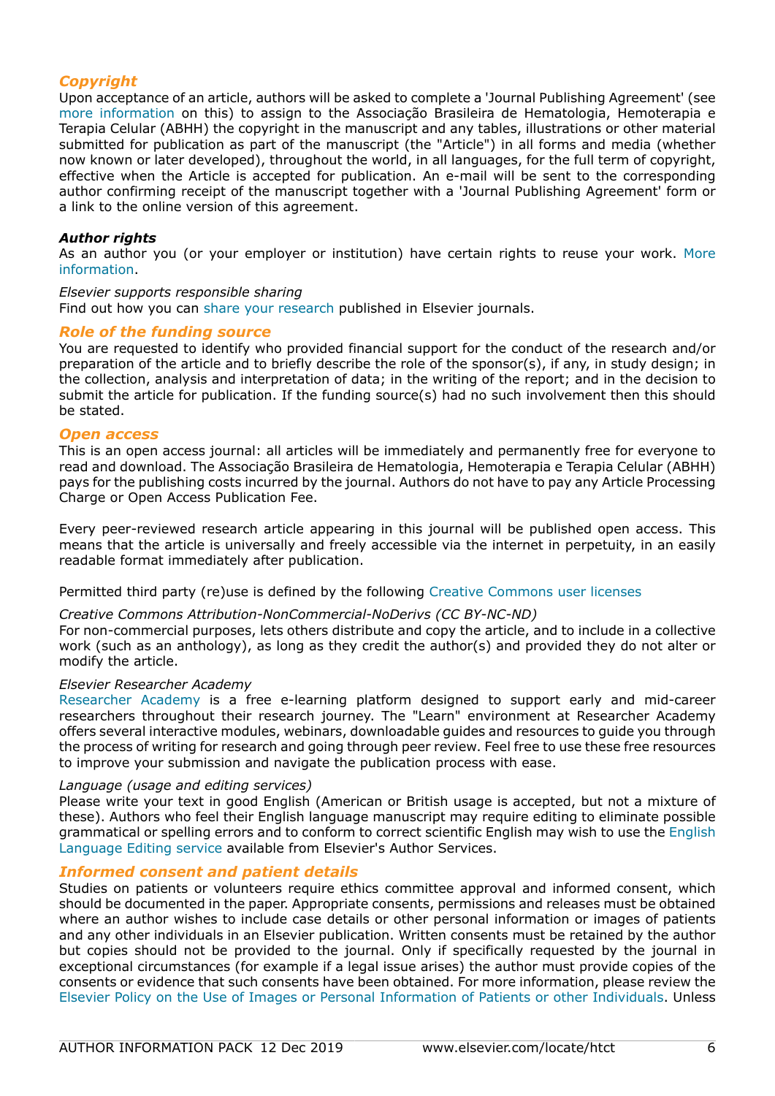## *Copyright*

Upon acceptance of an article, authors will be asked to complete a 'Journal Publishing Agreement' (see [more information](https://www.elsevier.com/copyright) on this) to assign to the Associação Brasileira de Hematologia, Hemoterapia e Terapia Celular (ABHH) the copyright in the manuscript and any tables, illustrations or other material submitted for publication as part of the manuscript (the "Article") in all forms and media (whether now known or later developed), throughout the world, in all languages, for the full term of copyright, effective when the Article is accepted for publication. An e-mail will be sent to the corresponding author confirming receipt of the manuscript together with a 'Journal Publishing Agreement' form or a link to the online version of this agreement.

## *Author rights*

As an author you (or your employer or institution) have certain rights to reuse your work. [More](https://www.elsevier.com/copyright) [information](https://www.elsevier.com/copyright).

## *Elsevier supports responsible sharing*

Find out how you can [share your research](https://www.elsevier.com/authors/journal-authors/submit-your-paper/sharing-and-promoting-your-article) published in Elsevier journals.

## *Role of the funding source*

You are requested to identify who provided financial support for the conduct of the research and/or preparation of the article and to briefly describe the role of the sponsor(s), if any, in study design; in the collection, analysis and interpretation of data; in the writing of the report; and in the decision to submit the article for publication. If the funding source(s) had no such involvement then this should be stated.

## *Open access*

This is an open access journal: all articles will be immediately and permanently free for everyone to read and download. The Associação Brasileira de Hematologia, Hemoterapia e Terapia Celular (ABHH) pays for the publishing costs incurred by the journal. Authors do not have to pay any Article Processing Charge or Open Access Publication Fee.

Every peer-reviewed research article appearing in this journal will be published open access. This means that the article is universally and freely accessible via the internet in perpetuity, in an easily readable format immediately after publication.

## Permitted third party (re)use is defined by the following [Creative Commons user licenses](https://www.elsevier.com/openaccesslicenses)

## *Creative Commons Attribution-NonCommercial-NoDerivs (CC BY-NC-ND)*

For non-commercial purposes, lets others distribute and copy the article, and to include in a collective work (such as an anthology), as long as they credit the author(s) and provided they do not alter or modify the article.

#### *Elsevier Researcher Academy*

[Researcher Academy](https://researcheracademy.elsevier.com/) is a free e-learning platform designed to support early and mid-career researchers throughout their research journey. The "Learn" environment at Researcher Academy offers several interactive modules, webinars, downloadable guides and resources to guide you through the process of writing for research and going through peer review. Feel free to use these free resources to improve your submission and navigate the publication process with ease.

## *Language (usage and editing services)*

Please write your text in good English (American or British usage is accepted, but not a mixture of these). Authors who feel their English language manuscript may require editing to eliminate possible grammatical or spelling errors and to conform to correct scientific English may wish to use the [English](http://webshop.elsevier.com/languageediting/) [Language Editing service](http://webshop.elsevier.com/languageediting/) available from Elsevier's Author Services.

## *Informed consent and patient details*

Studies on patients or volunteers require ethics committee approval and informed consent, which should be documented in the paper. Appropriate consents, permissions and releases must be obtained where an author wishes to include case details or other personal information or images of patients and any other individuals in an Elsevier publication. Written consents must be retained by the author but copies should not be provided to the journal. Only if specifically requested by the journal in exceptional circumstances (for example if a legal issue arises) the author must provide copies of the consents or evidence that such consents have been obtained. For more information, please review the [Elsevier Policy on the Use of Images or Personal Information of Patients or other Individuals.](https://www.elsevier.com/about/policies/patient-consent) Unless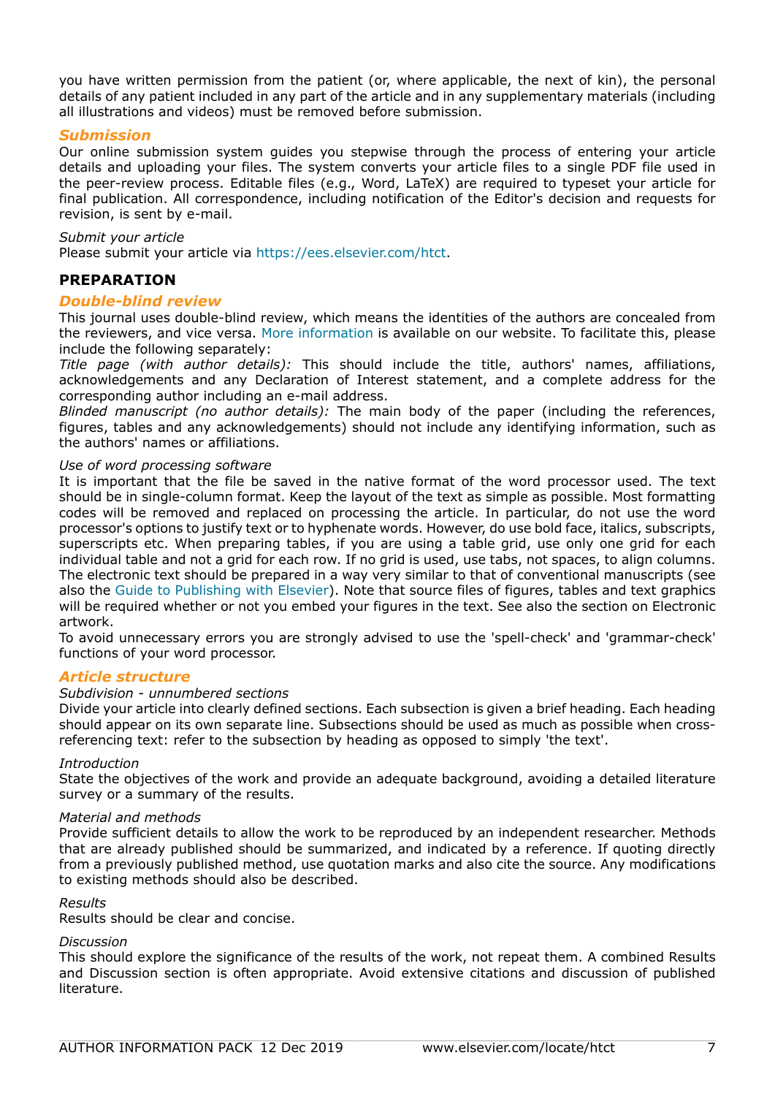you have written permission from the patient (or, where applicable, the next of kin), the personal details of any patient included in any part of the article and in any supplementary materials (including all illustrations and videos) must be removed before submission.

## *Submission*

Our online submission system guides you stepwise through the process of entering your article details and uploading your files. The system converts your article files to a single PDF file used in the peer-review process. Editable files (e.g., Word, LaTeX) are required to typeset your article for final publication. All correspondence, including notification of the Editor's decision and requests for revision, is sent by e-mail.

#### *Submit your article*

Please submit your article via https://ees.elsevier.com/htct.

## **PREPARATION**

## *Double-blind review*

This journal uses double-blind review, which means the identities of the authors are concealed from the reviewers, and vice versa. [More information](https://www.elsevier.com/reviewers/what-is-peer-review) is available on our website. To facilitate this, please include the following separately:

*Title page (with author details):* This should include the title, authors' names, affiliations, acknowledgements and any Declaration of Interest statement, and a complete address for the corresponding author including an e-mail address.

*Blinded manuscript (no author details):* The main body of the paper (including the references, figures, tables and any acknowledgements) should not include any identifying information, such as the authors' names or affiliations.

#### *Use of word processing software*

It is important that the file be saved in the native format of the word processor used. The text should be in single-column format. Keep the layout of the text as simple as possible. Most formatting codes will be removed and replaced on processing the article. In particular, do not use the word processor's options to justify text or to hyphenate words. However, do use bold face, italics, subscripts, superscripts etc. When preparing tables, if you are using a table grid, use only one grid for each individual table and not a grid for each row. If no grid is used, use tabs, not spaces, to align columns. The electronic text should be prepared in a way very similar to that of conventional manuscripts (see also the [Guide to Publishing with Elsevier\)](https://www.elsevier.com/authors/journal-authors/submit-your-paper). Note that source files of figures, tables and text graphics will be required whether or not you embed your figures in the text. See also the section on Electronic artwork.

To avoid unnecessary errors you are strongly advised to use the 'spell-check' and 'grammar-check' functions of your word processor.

## *Article structure*

#### *Subdivision - unnumbered sections*

Divide your article into clearly defined sections. Each subsection is given a brief heading. Each heading should appear on its own separate line. Subsections should be used as much as possible when crossreferencing text: refer to the subsection by heading as opposed to simply 'the text'.

#### *Introduction*

State the objectives of the work and provide an adequate background, avoiding a detailed literature survey or a summary of the results.

#### *Material and methods*

Provide sufficient details to allow the work to be reproduced by an independent researcher. Methods that are already published should be summarized, and indicated by a reference. If quoting directly from a previously published method, use quotation marks and also cite the source. Any modifications to existing methods should also be described.

#### *Results*

Results should be clear and concise.

## *Discussion*

This should explore the significance of the results of the work, not repeat them. A combined Results and Discussion section is often appropriate. Avoid extensive citations and discussion of published literature.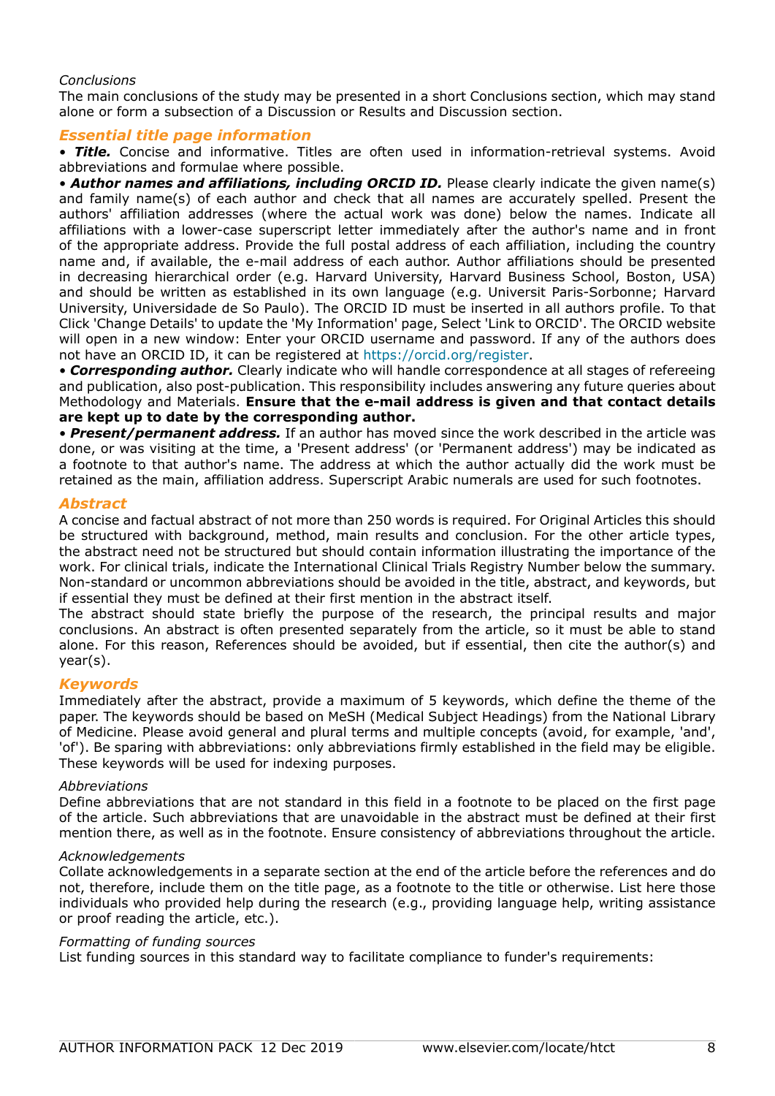## *Conclusions*

The main conclusions of the study may be presented in a short Conclusions section, which may stand alone or form a subsection of a Discussion or Results and Discussion section.

## *Essential title page information*

• *Title.* Concise and informative. Titles are often used in information-retrieval systems. Avoid abbreviations and formulae where possible.

• **Author names and affiliations, including ORCID ID.** Please clearly indicate the given name(s) and family name(s) of each author and check that all names are accurately spelled. Present the authors' affiliation addresses (where the actual work was done) below the names. Indicate all affiliations with a lower-case superscript letter immediately after the author's name and in front of the appropriate address. Provide the full postal address of each affiliation, including the country name and, if available, the e-mail address of each author. Author affiliations should be presented in decreasing hierarchical order (e.g. Harvard University, Harvard Business School, Boston, USA) and should be written as established in its own language (e.g. Universit Paris-Sorbonne; Harvard University, Universidade de So Paulo). The ORCID ID must be inserted in all authors profile. To that Click 'Change Details' to update the 'My Information' page, Select 'Link to ORCID'. The ORCID website will open in a new window: Enter your ORCID username and password. If any of the authors does not have an ORCID ID, it can be registered at https://orcid.org/register.

• *Corresponding author.* Clearly indicate who will handle correspondence at all stages of refereeing and publication, also post-publication. This responsibility includes answering any future queries about Methodology and Materials. **Ensure that the e-mail address is given and that contact details are kept up to date by the corresponding author.**

• *Present/permanent address.* If an author has moved since the work described in the article was done, or was visiting at the time, a 'Present address' (or 'Permanent address') may be indicated as a footnote to that author's name. The address at which the author actually did the work must be retained as the main, affiliation address. Superscript Arabic numerals are used for such footnotes.

## *Abstract*

A concise and factual abstract of not more than 250 words is required. For Original Articles this should be structured with background, method, main results and conclusion. For the other article types, the abstract need not be structured but should contain information illustrating the importance of the work. For clinical trials, indicate the International Clinical Trials Registry Number below the summary. Non-standard or uncommon abbreviations should be avoided in the title, abstract, and keywords, but if essential they must be defined at their first mention in the abstract itself.

The abstract should state briefly the purpose of the research, the principal results and major conclusions. An abstract is often presented separately from the article, so it must be able to stand alone. For this reason, References should be avoided, but if essential, then cite the author(s) and year(s).

## *Keywords*

Immediately after the abstract, provide a maximum of 5 keywords, which define the theme of the paper. The keywords should be based on MeSH (Medical Subject Headings) from the National Library of Medicine. Please avoid general and plural terms and multiple concepts (avoid, for example, 'and', 'of'). Be sparing with abbreviations: only abbreviations firmly established in the field may be eligible. These keywords will be used for indexing purposes.

## *Abbreviations*

Define abbreviations that are not standard in this field in a footnote to be placed on the first page of the article. Such abbreviations that are unavoidable in the abstract must be defined at their first mention there, as well as in the footnote. Ensure consistency of abbreviations throughout the article.

## *Acknowledgements*

Collate acknowledgements in a separate section at the end of the article before the references and do not, therefore, include them on the title page, as a footnote to the title or otherwise. List here those individuals who provided help during the research (e.g., providing language help, writing assistance or proof reading the article, etc.).

## *Formatting of funding sources*

List funding sources in this standard way to facilitate compliance to funder's requirements: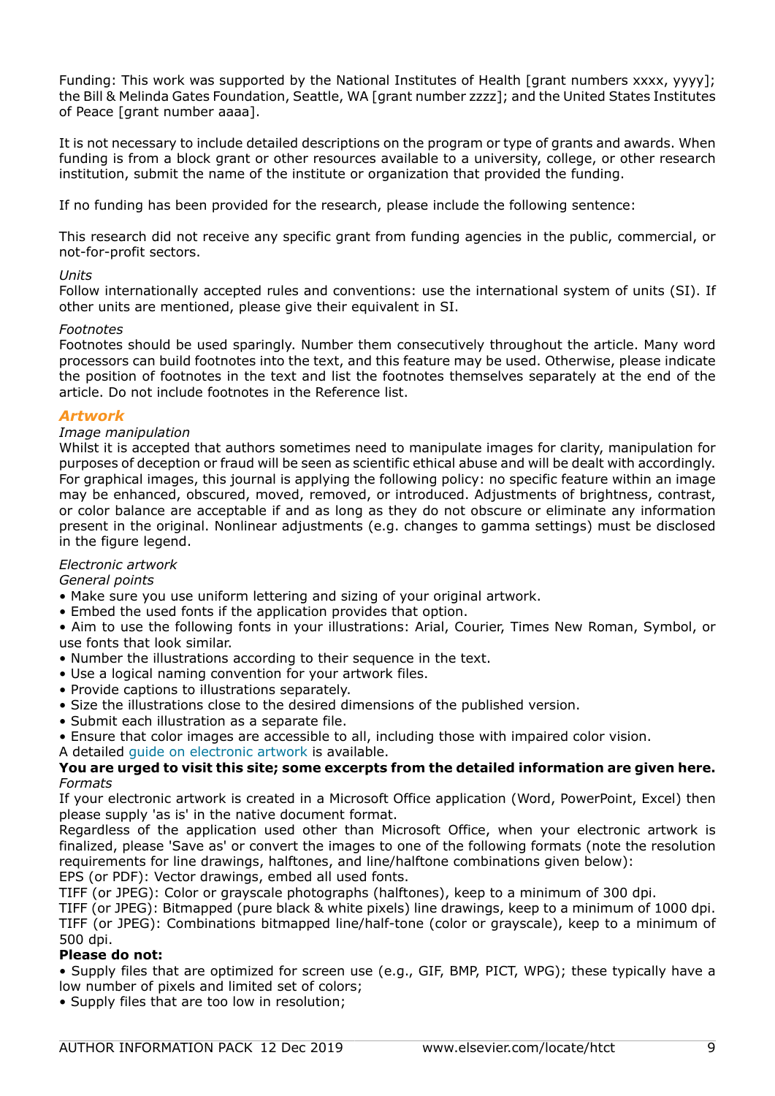Funding: This work was supported by the National Institutes of Health [grant numbers xxxx, yyyy]; the Bill & Melinda Gates Foundation, Seattle, WA [grant number zzzz]; and the United States Institutes of Peace [grant number aaaa].

It is not necessary to include detailed descriptions on the program or type of grants and awards. When funding is from a block grant or other resources available to a university, college, or other research institution, submit the name of the institute or organization that provided the funding.

If no funding has been provided for the research, please include the following sentence:

This research did not receive any specific grant from funding agencies in the public, commercial, or not-for-profit sectors.

## *Units*

Follow internationally accepted rules and conventions: use the international system of units (SI). If other units are mentioned, please give their equivalent in SI.

## *Footnotes*

Footnotes should be used sparingly. Number them consecutively throughout the article. Many word processors can build footnotes into the text, and this feature may be used. Otherwise, please indicate the position of footnotes in the text and list the footnotes themselves separately at the end of the article. Do not include footnotes in the Reference list.

## *Artwork*

## *Image manipulation*

Whilst it is accepted that authors sometimes need to manipulate images for clarity, manipulation for purposes of deception or fraud will be seen as scientific ethical abuse and will be dealt with accordingly. For graphical images, this journal is applying the following policy: no specific feature within an image may be enhanced, obscured, moved, removed, or introduced. Adjustments of brightness, contrast, or color balance are acceptable if and as long as they do not obscure or eliminate any information present in the original. Nonlinear adjustments (e.g. changes to gamma settings) must be disclosed in the figure legend.

## *Electronic artwork*

*General points*

- Make sure you use uniform lettering and sizing of your original artwork.
- Embed the used fonts if the application provides that option.

• Aim to use the following fonts in your illustrations: Arial, Courier, Times New Roman, Symbol, or use fonts that look similar.

- Number the illustrations according to their sequence in the text.
- Use a logical naming convention for your artwork files.
- Provide captions to illustrations separately.
- Size the illustrations close to the desired dimensions of the published version.
- Submit each illustration as a separate file.
- Ensure that color images are accessible to all, including those with impaired color vision.
- A detailed [guide on electronic artwork](https://www.elsevier.com/authors/author-schemas/artwork-and-media-instructions) is available.

## **You are urged to visit this site; some excerpts from the detailed information are given here.** *Formats*

If your electronic artwork is created in a Microsoft Office application (Word, PowerPoint, Excel) then please supply 'as is' in the native document format.

Regardless of the application used other than Microsoft Office, when your electronic artwork is finalized, please 'Save as' or convert the images to one of the following formats (note the resolution requirements for line drawings, halftones, and line/halftone combinations given below): EPS (or PDF): Vector drawings, embed all used fonts.

TIFF (or JPEG): Color or grayscale photographs (halftones), keep to a minimum of 300 dpi.

TIFF (or JPEG): Bitmapped (pure black & white pixels) line drawings, keep to a minimum of 1000 dpi. TIFF (or JPEG): Combinations bitmapped line/half-tone (color or grayscale), keep to a minimum of 500 dpi.

## **Please do not:**

• Supply files that are optimized for screen use (e.g., GIF, BMP, PICT, WPG); these typically have a low number of pixels and limited set of colors;

• Supply files that are too low in resolution;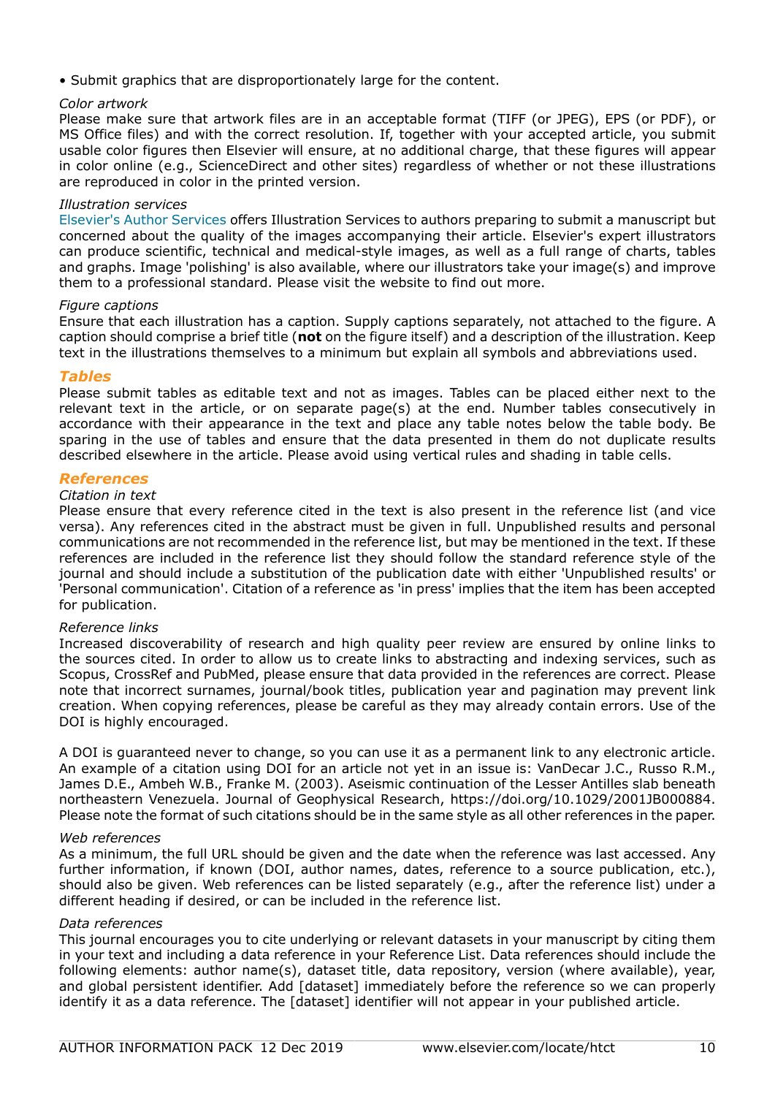• Submit graphics that are disproportionately large for the content.

## *Color artwork*

Please make sure that artwork files are in an acceptable format (TIFF (or JPEG), EPS (or PDF), or MS Office files) and with the correct resolution. If, together with your accepted article, you submit usable color figures then Elsevier will ensure, at no additional charge, that these figures will appear in color online (e.g., ScienceDirect and other sites) regardless of whether or not these illustrations are reproduced in color in the printed version.

## *Illustration services*

[Elsevier's Author Services](http://webshop.elsevier.com/illustrationservices) offers Illustration Services to authors preparing to submit a manuscript but concerned about the quality of the images accompanying their article. Elsevier's expert illustrators can produce scientific, technical and medical-style images, as well as a full range of charts, tables and graphs. Image 'polishing' is also available, where our illustrators take your image(s) and improve them to a professional standard. Please visit the website to find out more.

## *Figure captions*

Ensure that each illustration has a caption. Supply captions separately, not attached to the figure. A caption should comprise a brief title (**not** on the figure itself) and a description of the illustration. Keep text in the illustrations themselves to a minimum but explain all symbols and abbreviations used.

## *Tables*

Please submit tables as editable text and not as images. Tables can be placed either next to the relevant text in the article, or on separate page(s) at the end. Number tables consecutively in accordance with their appearance in the text and place any table notes below the table body. Be sparing in the use of tables and ensure that the data presented in them do not duplicate results described elsewhere in the article. Please avoid using vertical rules and shading in table cells.

## *References*

#### *Citation in text*

Please ensure that every reference cited in the text is also present in the reference list (and vice versa). Any references cited in the abstract must be given in full. Unpublished results and personal communications are not recommended in the reference list, but may be mentioned in the text. If these references are included in the reference list they should follow the standard reference style of the journal and should include a substitution of the publication date with either 'Unpublished results' or 'Personal communication'. Citation of a reference as 'in press' implies that the item has been accepted for publication.

## *Reference links*

Increased discoverability of research and high quality peer review are ensured by online links to the sources cited. In order to allow us to create links to abstracting and indexing services, such as Scopus, CrossRef and PubMed, please ensure that data provided in the references are correct. Please note that incorrect surnames, journal/book titles, publication year and pagination may prevent link creation. When copying references, please be careful as they may already contain errors. Use of the DOI is highly encouraged.

A DOI is guaranteed never to change, so you can use it as a permanent link to any electronic article. An example of a citation using DOI for an article not yet in an issue is: VanDecar J.C., Russo R.M., James D.E., Ambeh W.B., Franke M. (2003). Aseismic continuation of the Lesser Antilles slab beneath northeastern Venezuela. Journal of Geophysical Research, https://doi.org/10.1029/2001JB000884. Please note the format of such citations should be in the same style as all other references in the paper.

## *Web references*

As a minimum, the full URL should be given and the date when the reference was last accessed. Any further information, if known (DOI, author names, dates, reference to a source publication, etc.), should also be given. Web references can be listed separately (e.g., after the reference list) under a different heading if desired, or can be included in the reference list.

## *Data references*

This journal encourages you to cite underlying or relevant datasets in your manuscript by citing them in your text and including a data reference in your Reference List. Data references should include the following elements: author name(s), dataset title, data repository, version (where available), year, and global persistent identifier. Add [dataset] immediately before the reference so we can properly identify it as a data reference. The [dataset] identifier will not appear in your published article.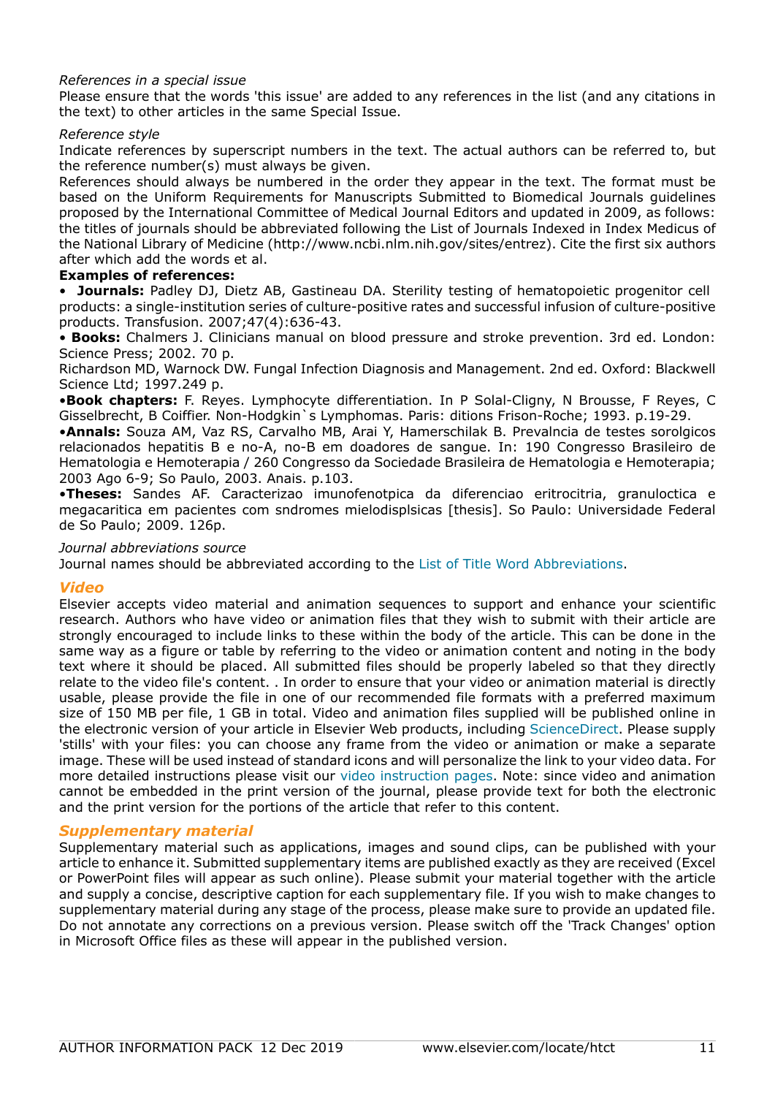## *References in a special issue*

Please ensure that the words 'this issue' are added to any references in the list (and any citations in the text) to other articles in the same Special Issue.

## *Reference style*

Indicate references by superscript numbers in the text. The actual authors can be referred to, but the reference number(s) must always be given.

References should always be numbered in the order they appear in the text. The format must be based on the Uniform Requirements for Manuscripts Submitted to Biomedical Journals guidelines proposed by the International Committee of Medical Journal Editors and updated in 2009, as follows: the titles of journals should be abbreviated following the List of Journals Indexed in Index Medicus of the National Library of Medicine (http://www.ncbi.nlm.nih.gov/sites/entrez). Cite the first six authors after which add the words et al.

## **Examples of references:**

• **Journals:** Padley DJ, Dietz AB, Gastineau DA. Sterility testing of hematopoietic progenitor cell products: a single-institution series of culture-positive rates and successful infusion of culture-positive products. Transfusion. 2007;47(4):636-43.

• **Books:** Chalmers J. Clinicians manual on blood pressure and stroke prevention. 3rd ed. London: Science Press; 2002. 70 p.

Richardson MD, Warnock DW. Fungal Infection Diagnosis and Management. 2nd ed. Oxford: Blackwell Science Ltd; 1997.249 p.

•**Book chapters:** F. Reyes. Lymphocyte differentiation. In P Solal-Cligny, N Brousse, F Reyes, C Gisselbrecht, B Coiffier. Non-Hodgkin`s Lymphomas. Paris: ditions Frison-Roche; 1993. p.19-29.

•**Annals:** Souza AM, Vaz RS, Carvalho MB, Arai Y, Hamerschilak B. Prevalncia de testes sorolgicos relacionados hepatitis B e no-A, no-B em doadores de sangue. In: 190 Congresso Brasileiro de Hematologia e Hemoterapia / 260 Congresso da Sociedade Brasileira de Hematologia e Hemoterapia; 2003 Ago 6-9; So Paulo, 2003. Anais. p.103.

•**Theses:** Sandes AF. Caracterizao imunofenotpica da diferenciao eritrocitria, granuloctica e megacaritica em pacientes com sndromes mielodisplsicas [thesis]. So Paulo: Universidade Federal de So Paulo; 2009. 126p.

### *Journal abbreviations source*

Journal names should be abbreviated according to the [List of Title Word Abbreviations.](https://www.issn.org/services/online-services/access-to-the-ltwa/)

## *Video*

Elsevier accepts video material and animation sequences to support and enhance your scientific research. Authors who have video or animation files that they wish to submit with their article are strongly encouraged to include links to these within the body of the article. This can be done in the same way as a figure or table by referring to the video or animation content and noting in the body text where it should be placed. All submitted files should be properly labeled so that they directly relate to the video file's content. . In order to ensure that your video or animation material is directly usable, please provide the file in one of our recommended file formats with a preferred maximum size of 150 MB per file, 1 GB in total. Video and animation files supplied will be published online in the electronic version of your article in Elsevier Web products, including [ScienceDirect](https://www.sciencedirect.com). Please supply 'stills' with your files: you can choose any frame from the video or animation or make a separate image. These will be used instead of standard icons and will personalize the link to your video data. For more detailed instructions please visit our [video instruction pages.](https://www.elsevier.com/authors/author-schemas/artwork-and-media-instructions) Note: since video and animation cannot be embedded in the print version of the journal, please provide text for both the electronic and the print version for the portions of the article that refer to this content.

## *Supplementary material*

Supplementary material such as applications, images and sound clips, can be published with your article to enhance it. Submitted supplementary items are published exactly as they are received (Excel or PowerPoint files will appear as such online). Please submit your material together with the article and supply a concise, descriptive caption for each supplementary file. If you wish to make changes to supplementary material during any stage of the process, please make sure to provide an updated file. Do not annotate any corrections on a previous version. Please switch off the 'Track Changes' option in Microsoft Office files as these will appear in the published version.